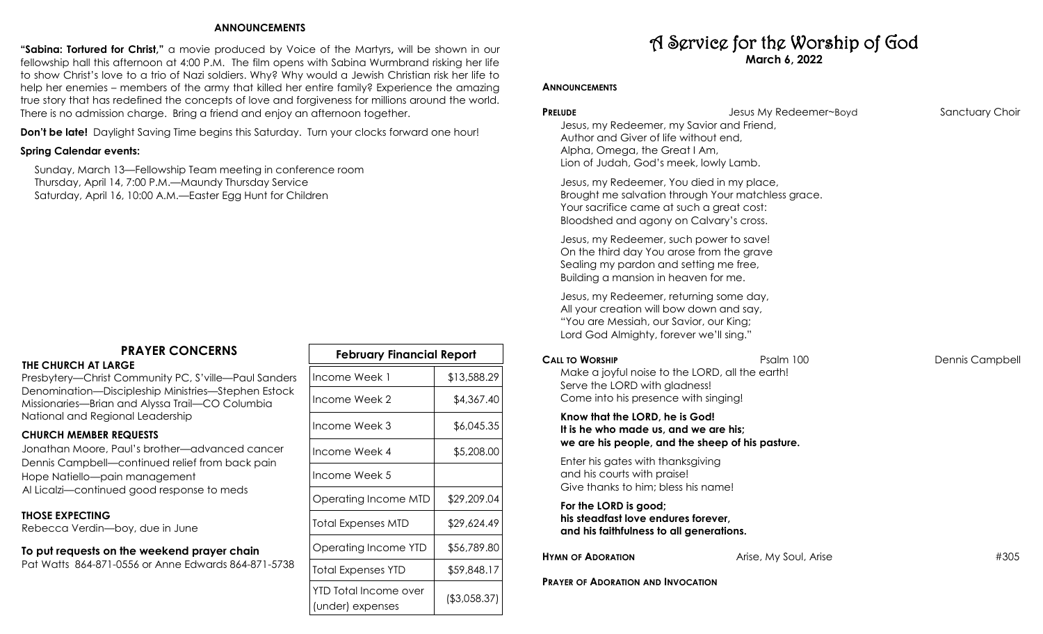### **ANNOUNCEMENTS**

**"Sabina: Tortured for Christ,"** a movie produced by Voice of the Martyrs**,** will be shown in our fellowship hall this afternoon at 4:00 P.M. The film opens with Sabina Wurmbrand risking her life to show Christ's love to a trio of Nazi soldiers. Why? Why would a Jewish Christian risk her life to help her enemies – members of the army that killed her entire family? Experience the amazing true story that has redefined the concepts of love and forgiveness for millions around the world. There is no admission charge. Bring a friend and enjoy an afternoon together.

**Don't be late!** Daylight Saving Time begins this Saturday. Turn your clocks forward one hour!

# **Spring Calendar events:**

 Sunday, March 13—Fellowship Team meeting in conference room Thursday, April 14, 7:00 P.M.—Maundy Thursday Service Saturday, April 16, 10:00 A.M.—Easter Egg Hunt for Children

# **PRAYER CONCERNS**

### **THE CHURCH AT LARGE**

Presbytery—Christ Community PC, S'ville—Paul Sanders Denomination—Discipleship Ministries—Stephen Estock Missionaries—Brian and Alyssa Trail—CO Columbia National and Regional Leadership

# **CHURCH MEMBER REQUESTS**

Jonathan Moore, Paul's brother—advanced cancer Dennis Campbell—continued relief from back pain Hope Natiello—pain management Al Licalzi—continued good response to meds

## **THOSE EXPECTING**

Rebecca Verdin—boy, due in June

### **To put requests on the weekend prayer chain** Pat Watts 864-871-0556 or Anne Edwards 864-871-5738

| <b>February Financial Report</b>          |               |  |  |
|-------------------------------------------|---------------|--|--|
| Income Week 1                             | \$13,588.29   |  |  |
| Income Week 2                             | \$4,367.40    |  |  |
| Income Week 3                             | \$6,045.35    |  |  |
| Income Week 4                             | \$5,208.00    |  |  |
| Income Week 5                             |               |  |  |
| Operating Income MTD                      | \$29,209.04   |  |  |
| Total Expenses MTD                        | \$29,624.49   |  |  |
| Operating Income YTD                      | \$56,789.80   |  |  |
| Total Expenses YTD                        | \$59,848.17   |  |  |
| YTD Total Income over<br>(under) expenses | ( \$3,058.37) |  |  |

# A Service for the Worship of God **March 6, 2022**

## **ANNOUNCEMENTS**

| <b>PRELUDE</b><br>Jesus, my Redeemer, my Savior and Friend,<br>Author and Giver of life without end,<br>Alpha, Omega, the Great I Am,<br>Lion of Judah, God's meek, lowly Lamb. | Jesus My Redeemer~Boyd                             | Sanctuary Choir |
|---------------------------------------------------------------------------------------------------------------------------------------------------------------------------------|----------------------------------------------------|-----------------|
| Jesus, my Redeemer, You died in my place,<br>Your sacrifice came at such a great cost:<br>Bloodshed and agony on Calvary's cross.                                               | Brought me salvation through Your matchless grace. |                 |
| Jesus, my Redeemer, such power to save!<br>On the third day You arose from the grave<br>Sealing my pardon and setting me free,<br>Building a mansion in heaven for me.          |                                                    |                 |
| Jesus, my Redeemer, returning some day,<br>All your creation will bow down and say,<br>"You are Messiah, our Savior, our King;<br>Lord God Almighty, forever we'll sing."       |                                                    |                 |
| <b>CALL TO WORSHIP</b><br>Make a joyful noise to the LORD, all the earth!                                                                                                       | Psalm 100                                          | Dennis Campbell |
| Serve the LORD with gladness!<br>Come into his presence with singing!                                                                                                           |                                                    |                 |
| Know that the LORD, he is God!<br>It is he who made us, and we are his;                                                                                                         | we are his people, and the sheep of his pasture.   |                 |
| Enter his gates with thanksgiving<br>and his courts with praise!<br>Give thanks to him; bless his name!                                                                         |                                                    |                 |
| For the LORD is good;<br>his steadfast love endures forever,<br>and his faithfulness to all generations.                                                                        |                                                    |                 |
| <b>HYMN OF ADORATION</b>                                                                                                                                                        | Arise, My Soul, Arise                              | #305            |